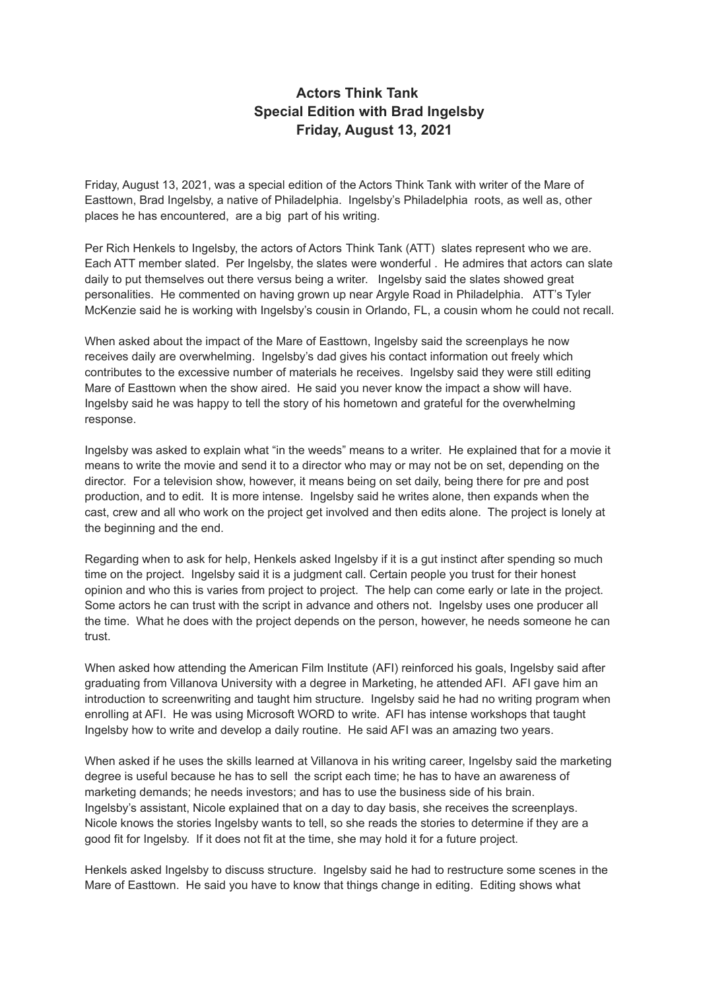## **Actors Think Tank Special Edition with Brad Ingelsby Friday, August 13, 2021**

Friday, August 13, 2021, was a special edition of the Actors Think Tank with writer of the Mare of Easttown, Brad Ingelsby, a native of Philadelphia. Ingelsby's Philadelphia roots, as well as, other places he has encountered, are a big part of his writing.

Per Rich Henkels to Ingelsby, the actors of Actors Think Tank (ATT) slates represent who we are. Each ATT member slated. Per Ingelsby, the slates were wonderful . He admires that actors can slate daily to put themselves out there versus being a writer. Ingelsby said the slates showed great personalities. He commented on having grown up near Argyle Road in Philadelphia. ATT's Tyler McKenzie said he is working with Ingelsby's cousin in Orlando, FL, a cousin whom he could not recall.

When asked about the impact of the Mare of Easttown, Ingelsby said the screenplays he now receives daily are overwhelming. Ingelsby's dad gives his contact information out freely which contributes to the excessive number of materials he receives. Ingelsby said they were still editing Mare of Easttown when the show aired. He said you never know the impact a show will have. Ingelsby said he was happy to tell the story of his hometown and grateful for the overwhelming response.

Ingelsby was asked to explain what "in the weeds" means to a writer. He explained that for a movie it means to write the movie and send it to a director who may or may not be on set, depending on the director. For a television show, however, it means being on set daily, being there for pre and post production, and to edit. It is more intense. Ingelsby said he writes alone, then expands when the cast, crew and all who work on the project get involved and then edits alone. The project is lonely at the beginning and the end.

Regarding when to ask for help, Henkels asked Ingelsby if it is a gut instinct after spending so much time on the project. Ingelsby said it is a judgment call. Certain people you trust for their honest opinion and who this is varies from project to project. The help can come early or late in the project. Some actors he can trust with the script in advance and others not. Ingelsby uses one producer all the time. What he does with the project depends on the person, however, he needs someone he can trust.

When asked how attending the American Film Institute (AFI) reinforced his goals, Ingelsby said after graduating from Villanova University with a degree in Marketing, he attended AFI. AFI gave him an introduction to screenwriting and taught him structure. Ingelsby said he had no writing program when enrolling at AFI. He was using Microsoft WORD to write. AFI has intense workshops that taught Ingelsby how to write and develop a daily routine. He said AFI was an amazing two years.

When asked if he uses the skills learned at Villanova in his writing career, Ingelsby said the marketing degree is useful because he has to sell the script each time; he has to have an awareness of marketing demands; he needs investors; and has to use the business side of his brain. Ingelsby's assistant, Nicole explained that on a day to day basis, she receives the screenplays. Nicole knows the stories Ingelsby wants to tell, so she reads the stories to determine if they are a good fit for Ingelsby. If it does not fit at the time, she may hold it for a future project.

Henkels asked Ingelsby to discuss structure. Ingelsby said he had to restructure some scenes in the Mare of Easttown. He said you have to know that things change in editing. Editing shows what